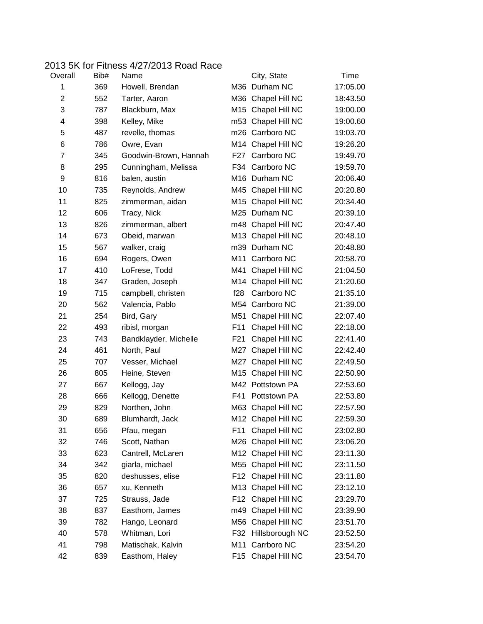## 2013 5K for Fitness 4/27/2013 Road Race

| Overall        | Bib# | Name                  |        | City, State         | Time     |
|----------------|------|-----------------------|--------|---------------------|----------|
| 1              | 369  | Howell, Brendan       |        | M36 Durham NC       | 17:05.00 |
| $\overline{2}$ | 552  | Tarter, Aaron         |        | M36 Chapel Hill NC  | 18:43.50 |
| 3              | 787  | Blackburn, Max        |        | M15 Chapel Hill NC  | 19:00.00 |
| 4              | 398  | Kelley, Mike          |        | m53 Chapel Hill NC  | 19:00.60 |
| 5              | 487  | revelle, thomas       |        | m26 Carrboro NC     | 19:03.70 |
| 6              | 786  | Owre, Evan            |        | M14 Chapel Hill NC  | 19:26.20 |
| 7              | 345  | Goodwin-Brown, Hannah |        | F27 Carrboro NC     | 19:49.70 |
| 8              | 295  | Cunningham, Melissa   |        | F34 Carrboro NC     | 19:59.70 |
| 9              | 816  | balen, austin         |        | M16 Durham NC       | 20:06.40 |
| 10             | 735  | Reynolds, Andrew      |        | M45 Chapel Hill NC  | 20:20.80 |
| 11             | 825  | zimmerman, aidan      |        | M15 Chapel Hill NC  | 20:34.40 |
| 12             | 606  | Tracy, Nick           |        | M25 Durham NC       | 20:39.10 |
| 13             | 826  | zimmerman, albert     |        | m48 Chapel Hill NC  | 20:47.40 |
| 14             | 673  | Obeid, marwan         |        | M13 Chapel Hill NC  | 20:48.10 |
| 15             | 567  | walker, craig         |        | m39 Durham NC       | 20:48.80 |
| 16             | 694  | Rogers, Owen          |        | M11 Carrboro NC     | 20:58.70 |
| 17             | 410  | LoFrese, Todd         |        | M41 Chapel Hill NC  | 21:04.50 |
| 18             | 347  | Graden, Joseph        |        | M14 Chapel Hill NC  | 21:20.60 |
| 19             | 715  | campbell, christen    | f $28$ | Carrboro NC         | 21:35.10 |
| 20             | 562  | Valencia, Pablo       |        | M54 Carrboro NC     | 21:39.00 |
| 21             | 254  | Bird, Gary            |        | M51 Chapel Hill NC  | 22:07.40 |
| 22             | 493  | ribisl, morgan        | F11    | Chapel Hill NC      | 22:18.00 |
| 23             | 743  | Bandklayder, Michelle | F21    | Chapel Hill NC      | 22:41.40 |
| 24             | 461  | North, Paul           |        | M27 Chapel Hill NC  | 22:42.40 |
| 25             | 707  | Vesser, Michael       |        | M27 Chapel Hill NC  | 22:49.50 |
| 26             | 805  | Heine, Steven         |        | M15 Chapel Hill NC  | 22:50.90 |
| 27             | 667  | Kellogg, Jay          |        | M42 Pottstown PA    | 22:53.60 |
| 28             | 666  | Kellogg, Denette      | F41    | Pottstown PA        | 22:53.80 |
| 29             | 829  | Northen, John         |        | M63 Chapel Hill NC  | 22:57.90 |
| 30             | 689  | Blumhardt, Jack       |        | M12 Chapel Hill NC  | 22:59.30 |
| 31             | 656  | Pfau, megan           |        | F11 Chapel Hill NC  | 23:02.80 |
| 32             | 746  | Scott, Nathan         |        | M26 Chapel Hill NC  | 23:06.20 |
| 33             | 623  | Cantrell, McLaren     |        | M12 Chapel Hill NC  | 23:11.30 |
| 34             | 342  | giarla, michael       |        | M55 Chapel Hill NC  | 23:11.50 |
| 35             | 820  | deshusses, elise      |        | F12 Chapel Hill NC  | 23:11.80 |
| 36             | 657  | xu, Kenneth           |        | M13 Chapel Hill NC  | 23:12.10 |
| 37             | 725  | Strauss, Jade         |        | F12 Chapel Hill NC  | 23:29.70 |
| 38             | 837  | Easthom, James        |        | m49 Chapel Hill NC  | 23:39.90 |
| 39             | 782  | Hango, Leonard        |        | M56 Chapel Hill NC  | 23:51.70 |
| 40             | 578  | Whitman, Lori         |        | F32 Hillsborough NC | 23:52.50 |
| 41             | 798  | Matischak, Kalvin     | M11    | Carrboro NC         | 23:54.20 |
| 42             | 839  | Easthom, Haley        | F15    | Chapel Hill NC      | 23:54.70 |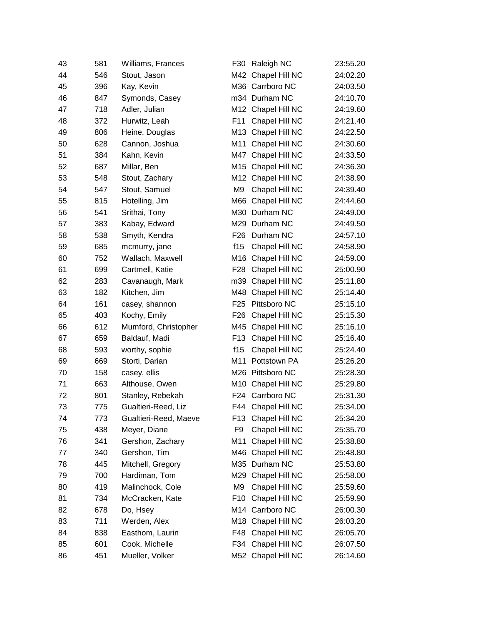| 43 | 581 | Williams, Frances     | F30             | Raleigh NC         | 23:55.20 |
|----|-----|-----------------------|-----------------|--------------------|----------|
| 44 | 546 | Stout, Jason          |                 | M42 Chapel Hill NC | 24:02.20 |
| 45 | 396 | Kay, Kevin            |                 | M36 Carrboro NC    | 24:03.50 |
| 46 | 847 | Symonds, Casey        |                 | m34 Durham NC      | 24:10.70 |
| 47 | 718 | Adler, Julian         |                 | M12 Chapel Hill NC | 24:19.60 |
| 48 | 372 | Hurwitz, Leah         | F11             | Chapel Hill NC     | 24:21.40 |
| 49 | 806 | Heine, Douglas        |                 | M13 Chapel Hill NC | 24:22.50 |
| 50 | 628 | Cannon, Joshua        |                 | M11 Chapel Hill NC | 24:30.60 |
| 51 | 384 | Kahn, Kevin           | M47             | Chapel Hill NC     | 24:33.50 |
| 52 | 687 | Millar, Ben           |                 | M15 Chapel Hill NC | 24:36.30 |
| 53 | 548 | Stout, Zachary        |                 | M12 Chapel Hill NC | 24:38.90 |
| 54 | 547 | Stout, Samuel         | M <sub>9</sub>  | Chapel Hill NC     | 24:39.40 |
| 55 | 815 | Hotelling, Jim        |                 | M66 Chapel Hill NC | 24:44.60 |
| 56 | 541 | Srithai, Tony         | M30             | Durham NC          | 24:49.00 |
| 57 | 383 | Kabay, Edward         |                 | M29 Durham NC      | 24:49.50 |
| 58 | 538 | Smyth, Kendra         | F <sub>26</sub> | Durham NC          | 24:57.10 |
| 59 | 685 | mcmurry, jane         | f15             | Chapel Hill NC     | 24:58.90 |
| 60 | 752 | Wallach, Maxwell      | M16             | Chapel Hill NC     | 24:59.00 |
| 61 | 699 | Cartmell, Katie       | F28             | Chapel Hill NC     | 25:00.90 |
| 62 | 283 | Cavanaugh, Mark       |                 | m39 Chapel Hill NC | 25:11.80 |
| 63 | 182 | Kitchen, Jim          | M48             | Chapel Hill NC     | 25:14.40 |
| 64 | 161 | casey, shannon        | F <sub>25</sub> | Pittsboro NC       | 25:15.10 |
| 65 | 403 | Kochy, Emily          | F <sub>26</sub> | Chapel Hill NC     | 25:15.30 |
| 66 | 612 | Mumford, Christopher  |                 | M45 Chapel Hill NC | 25:16.10 |
| 67 | 659 | Baldauf, Madi         | F <sub>13</sub> | Chapel Hill NC     | 25:16.40 |
| 68 | 593 | worthy, sophie        | f15             | Chapel Hill NC     | 25:24.40 |
| 69 | 669 | Storti, Darian        |                 | M11 Pottstown PA   | 25:26.20 |
| 70 | 158 | casey, ellis          |                 | M26 Pittsboro NC   | 25:28.30 |
| 71 | 663 | Althouse, Owen        |                 | M10 Chapel Hill NC | 25:29.80 |
| 72 | 801 | Stanley, Rebekah      | F24             | Carrboro NC        | 25:31.30 |
| 73 | 775 | Gualtieri-Reed, Liz   |                 | F44 Chapel Hill NC | 25:34.00 |
| 74 | 773 | Gualtieri-Reed, Maeve |                 | F13 Chapel Hill NC | 25:34.20 |
| 75 | 438 | Meyer, Diane          | F <sub>9</sub>  | Chapel Hill NC     | 25:35.70 |
| 76 | 341 | Gershon, Zachary      | M11             | Chapel Hill NC     | 25:38.80 |
| 77 | 340 | Gershon, Tim          | M46             | Chapel Hill NC     | 25:48.80 |
| 78 | 445 | Mitchell, Gregory     | M35             | Durham NC          | 25:53.80 |
| 79 | 700 | Hardiman, Tom         | M29             | Chapel Hill NC     | 25:58.00 |
| 80 | 419 | Malinchock, Cole      | M <sub>9</sub>  | Chapel Hill NC     | 25:59.60 |
| 81 | 734 | McCracken, Kate       | F <sub>10</sub> | Chapel Hill NC     | 25:59.90 |
| 82 | 678 | Do, Hsey              |                 | M14 Carrboro NC    | 26:00.30 |
| 83 | 711 | Werden, Alex          |                 | M18 Chapel Hill NC | 26:03.20 |
| 84 | 838 | Easthom, Laurin       | F48             | Chapel Hill NC     | 26:05.70 |
| 85 | 601 | Cook, Michelle        | F34             | Chapel Hill NC     | 26:07.50 |
| 86 | 451 | Mueller, Volker       |                 | M52 Chapel Hill NC | 26:14.60 |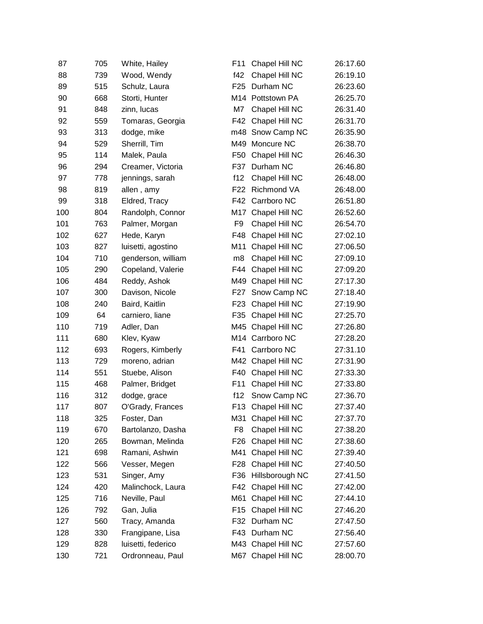| 87  | 705 | White, Hailey      | F11             | Chapel Hill NC     | 26:17.60 |
|-----|-----|--------------------|-----------------|--------------------|----------|
| 88  | 739 | Wood, Wendy        | f42             | Chapel Hill NC     | 26:19.10 |
| 89  | 515 | Schulz, Laura      | F <sub>25</sub> | Durham NC          | 26:23.60 |
| 90  | 668 | Storti, Hunter     |                 | M14 Pottstown PA   | 26:25.70 |
| 91  | 848 | zinn, lucas        | M7              | Chapel Hill NC     | 26:31.40 |
| 92  | 559 | Tomaras, Georgia   | F42             | Chapel Hill NC     | 26:31.70 |
| 93  | 313 | dodge, mike        |                 | m48 Snow Camp NC   | 26:35.90 |
| 94  | 529 | Sherrill, Tim      | M49             | Moncure NC         | 26:38.70 |
| 95  | 114 | Malek, Paula       | F50             | Chapel Hill NC     | 26:46.30 |
| 96  | 294 | Creamer, Victoria  | F37             | Durham NC          | 26:46.80 |
| 97  | 778 | jennings, sarah    | f12             | Chapel Hill NC     | 26:48.00 |
| 98  | 819 | allen, amy         | F22             | Richmond VA        | 26:48.00 |
| 99  | 318 | Eldred, Tracy      |                 | F42 Carrboro NC    | 26:51.80 |
| 100 | 804 | Randolph, Connor   | M17             | Chapel Hill NC     | 26:52.60 |
| 101 | 763 | Palmer, Morgan     | F <sub>9</sub>  | Chapel Hill NC     | 26:54.70 |
| 102 | 627 | Hede, Karyn        | F48             | Chapel Hill NC     | 27:02.10 |
| 103 | 827 | luisetti, agostino | M11             | Chapel Hill NC     | 27:06.50 |
| 104 | 710 | genderson, william | m8              | Chapel Hill NC     | 27:09.10 |
| 105 | 290 | Copeland, Valerie  | F44             | Chapel Hill NC     | 27:09.20 |
| 106 | 484 | Reddy, Ashok       | M49             | Chapel Hill NC     | 27:17.30 |
| 107 | 300 | Davison, Nicole    | F <sub>27</sub> | Snow Camp NC       | 27:18.40 |
| 108 | 240 | Baird, Kaitlin     | F <sub>23</sub> | Chapel Hill NC     | 27:19.90 |
| 109 | 64  | carniero, liane    | F35             | Chapel Hill NC     | 27:25.70 |
| 110 | 719 | Adler, Dan         |                 | M45 Chapel Hill NC | 27:26.80 |
| 111 | 680 | Klev, Kyaw         |                 | M14 Carrboro NC    | 27:28.20 |
| 112 | 693 | Rogers, Kimberly   | F41             | Carrboro NC        | 27:31.10 |
| 113 | 729 | moreno, adrian     |                 | M42 Chapel Hill NC | 27:31.90 |
| 114 | 551 | Stuebe, Alison     | F40             | Chapel Hill NC     | 27:33.30 |
| 115 | 468 | Palmer, Bridget    | F11             | Chapel Hill NC     | 27:33.80 |
| 116 | 312 | dodge, grace       | f12             | Snow Camp NC       | 27:36.70 |
| 117 | 807 | O'Grady, Frances   | F13             | Chapel Hill NC     | 27:37.40 |
| 118 | 325 | Foster, Dan        | M31             | Chapel Hill NC     | 27:37.70 |
| 119 | 670 | Bartolanzo, Dasha  | F <sub>8</sub>  | Chapel Hill NC     | 27:38.20 |
| 120 | 265 | Bowman, Melinda    | F26             | Chapel Hill NC     | 27:38.60 |
| 121 | 698 | Ramani, Ashwin     | M41             | Chapel Hill NC     | 27:39.40 |
| 122 | 566 | Vesser, Megen      | F <sub>28</sub> | Chapel Hill NC     | 27:40.50 |
| 123 | 531 | Singer, Amy        | F36             | Hillsborough NC    | 27:41.50 |
| 124 | 420 | Malinchock, Laura  | F42             | Chapel Hill NC     | 27:42.00 |
| 125 | 716 | Neville, Paul      | M61             | Chapel Hill NC     | 27:44.10 |
| 126 | 792 | Gan, Julia         | F <sub>15</sub> | Chapel Hill NC     | 27:46.20 |
| 127 | 560 | Tracy, Amanda      | F32             | Durham NC          | 27:47.50 |
| 128 | 330 | Frangipane, Lisa   | F43             | Durham NC          | 27:56.40 |
| 129 | 828 | luisetti, federico |                 | M43 Chapel Hill NC | 27:57.60 |
| 130 | 721 | Ordronneau, Paul   |                 | M67 Chapel Hill NC | 28:00.70 |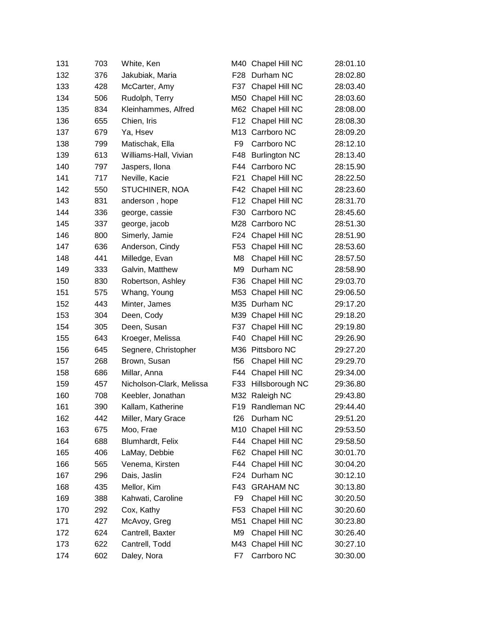| 131 | 703 | White, Ken               | M40             | Chapel Hill NC       | 28:01.10 |
|-----|-----|--------------------------|-----------------|----------------------|----------|
| 132 | 376 | Jakubiak, Maria          | F28             | Durham NC            | 28:02.80 |
| 133 | 428 | McCarter, Amy            | F37             | Chapel Hill NC       | 28:03.40 |
| 134 | 506 | Rudolph, Terry           | M50             | Chapel Hill NC       | 28:03.60 |
| 135 | 834 | Kleinhammes, Alfred      | M62             | Chapel Hill NC       | 28:08.00 |
| 136 | 655 | Chien, Iris              | F12             | Chapel Hill NC       | 28:08.30 |
| 137 | 679 | Ya, Hsev                 | M13             | Carrboro NC          | 28:09.20 |
| 138 | 799 | Matischak, Ella          | F9              | Carrboro NC          | 28:12.10 |
| 139 | 613 | Williams-Hall, Vivian    | F48             | <b>Burlington NC</b> | 28:13.40 |
| 140 | 797 | Jaspers, Ilona           | F44             | Carrboro NC          | 28:15.90 |
| 141 | 717 | Neville, Kacie           | F21             | Chapel Hill NC       | 28:22.50 |
| 142 | 550 | STUCHINER, NOA           | F42             | Chapel Hill NC       | 28:23.60 |
| 143 | 831 | anderson, hope           | F <sub>12</sub> | Chapel Hill NC       | 28:31.70 |
| 144 | 336 | george, cassie           | F30             | Carrboro NC          | 28:45.60 |
| 145 | 337 | george, jacob            |                 | M28 Carrboro NC      | 28:51.30 |
| 146 | 800 | Simerly, Jamie           | F24             | Chapel Hill NC       | 28:51.90 |
| 147 | 636 | Anderson, Cindy          | F <sub>53</sub> | Chapel Hill NC       | 28:53.60 |
| 148 | 441 | Milledge, Evan           | M <sub>8</sub>  | Chapel Hill NC       | 28:57.50 |
| 149 | 333 | Galvin, Matthew          | M <sub>9</sub>  | Durham NC            | 28:58.90 |
| 150 | 830 | Robertson, Ashley        | F36             | Chapel Hill NC       | 29:03.70 |
| 151 | 575 | Whang, Young             | M53             | Chapel Hill NC       | 29:06.50 |
| 152 | 443 | Minter, James            | M35             | Durham NC            | 29:17.20 |
| 153 | 304 | Deen, Cody               | M39             | Chapel Hill NC       | 29:18.20 |
| 154 | 305 | Deen, Susan              | F37             | Chapel Hill NC       | 29:19.80 |
| 155 | 643 | Kroeger, Melissa         | F40             | Chapel Hill NC       | 29:26.90 |
| 156 | 645 | Segnere, Christopher     | M36             | Pittsboro NC         | 29:27.20 |
| 157 | 268 | Brown, Susan             | f56             | Chapel Hill NC       | 29:29.70 |
| 158 | 686 | Millar, Anna             | F44             | Chapel Hill NC       | 29:34.00 |
| 159 | 457 | Nicholson-Clark, Melissa | F33             | Hillsborough NC      | 29:36.80 |
| 160 | 708 | Keebler, Jonathan        | M32             | Raleigh NC           | 29:43.80 |
| 161 | 390 | Kallam, Katherine        | F19             | Randleman NC         | 29:44.40 |
| 162 | 442 | Miller, Mary Grace       | f26             | Durham NC            | 29:51.20 |
| 163 | 675 | Moo, Frae                | M10             | Chapel Hill NC       | 29:53.50 |
| 164 | 688 | Blumhardt, Felix         | F44             | Chapel Hill NC       | 29:58.50 |
| 165 | 406 | LaMay, Debbie            | F62             | Chapel Hill NC       | 30:01.70 |
| 166 | 565 | Venema, Kirsten          | F44             | Chapel Hill NC       | 30:04.20 |
| 167 | 296 | Dais, Jaslin             | F <sub>24</sub> | Durham NC            | 30:12.10 |
| 168 | 435 | Mellor, Kim              | F43             | <b>GRAHAM NC</b>     | 30:13.80 |
| 169 | 388 | Kahwati, Caroline        | F9              | Chapel Hill NC       | 30:20.50 |
| 170 | 292 | Cox, Kathy               | F <sub>53</sub> | Chapel Hill NC       | 30:20.60 |
| 171 | 427 | McAvoy, Greg             | M51             | Chapel Hill NC       | 30:23.80 |
| 172 | 624 | Cantrell, Baxter         | M <sub>9</sub>  | Chapel Hill NC       | 30:26.40 |
| 173 | 622 | Cantrell, Todd           | M43             | Chapel Hill NC       | 30:27.10 |
| 174 | 602 | Daley, Nora              | F7              | Carrboro NC          | 30:30.00 |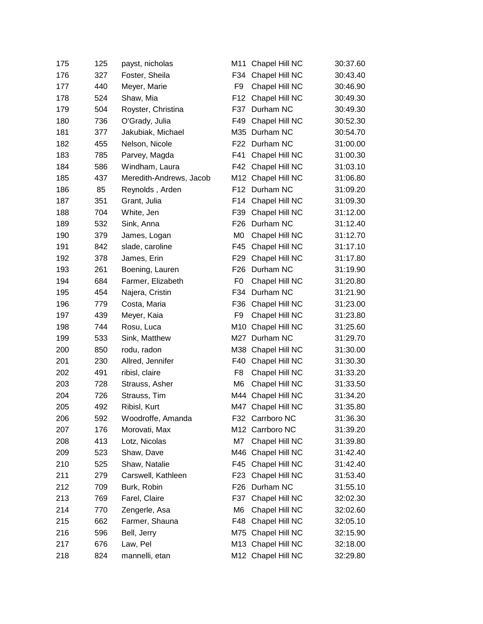| 175 | 125 | payst, nicholas         | M11             | Chapel Hill NC     | 30:37.60 |
|-----|-----|-------------------------|-----------------|--------------------|----------|
| 176 | 327 | Foster, Sheila          | F34             | Chapel Hill NC     | 30:43.40 |
| 177 | 440 | Meyer, Marie            | F <sub>9</sub>  | Chapel Hill NC     | 30:46.90 |
| 178 | 524 | Shaw, Mia               | F <sub>12</sub> | Chapel Hill NC     | 30:49.30 |
| 179 | 504 | Royster, Christina      | F37             | Durham NC          | 30:49.30 |
| 180 | 736 | O'Grady, Julia          | F49             | Chapel Hill NC     | 30:52.30 |
| 181 | 377 | Jakubiak, Michael       | M35             | Durham NC          | 30:54.70 |
| 182 | 455 | Nelson, Nicole          |                 | F22 Durham NC      | 31:00.00 |
| 183 | 785 | Parvey, Magda           | F41             | Chapel Hill NC     | 31:00.30 |
| 184 | 586 | Windham, Laura          | F42             | Chapel Hill NC     | 31:03.10 |
| 185 | 437 | Meredith-Andrews, Jacob |                 | M12 Chapel Hill NC | 31:06.80 |
| 186 | 85  | Reynolds, Arden         | F12             | Durham NC          | 31:09.20 |
| 187 | 351 | Grant, Julia            | F14             | Chapel Hill NC     | 31:09.30 |
| 188 | 704 | White, Jen              | F39             | Chapel Hill NC     | 31:12.00 |
| 189 | 532 | Sink, Anna              | F <sub>26</sub> | Durham NC          | 31:12.40 |
| 190 | 379 | James, Logan            | M <sub>0</sub>  | Chapel Hill NC     | 31:12.70 |
| 191 | 842 | slade, caroline         | F45             | Chapel Hill NC     | 31:17.10 |
| 192 | 378 | James, Erin             | F <sub>29</sub> | Chapel Hill NC     | 31:17.80 |
| 193 | 261 | Boening, Lauren         | F <sub>26</sub> | Durham NC          | 31:19.90 |
| 194 | 684 | Farmer, Elizabeth       | F <sub>0</sub>  | Chapel Hill NC     | 31:20.80 |
| 195 | 454 | Najera, Cristin         | F34             | Durham NC          | 31:21.90 |
| 196 | 779 | Costa, Maria            | F36             | Chapel Hill NC     | 31:23.00 |
| 197 | 439 | Meyer, Kaia             | F <sub>9</sub>  | Chapel Hill NC     | 31:23.80 |
| 198 | 744 | Rosu, Luca              | M10             | Chapel Hill NC     | 31:25.60 |
| 199 | 533 | Sink, Matthew           |                 | M27 Durham NC      | 31:29.70 |
| 200 | 850 | rodu, radon             | M38             | Chapel Hill NC     | 31:30.00 |
| 201 | 230 | Allred, Jennifer        | F40             | Chapel Hill NC     | 31:30.30 |
| 202 | 491 | ribisl, claire          | F <sub>8</sub>  | Chapel Hill NC     | 31:33.20 |
| 203 | 728 | Strauss, Asher          | M6              | Chapel Hill NC     | 31:33.50 |
| 204 | 726 | Strauss, Tim            | M44             | Chapel Hill NC     | 31:34.20 |
| 205 | 492 | Ribisl, Kurt            |                 | M47 Chapel Hill NC | 31:35.80 |
| 206 | 592 | Woodroffe, Amanda       |                 | F32 Carrboro NC    | 31:36.30 |
| 207 | 176 | Morovati, Max           |                 | M12 Carrboro NC    | 31:39.20 |
| 208 | 413 | Lotz, Nicolas           | M7              | Chapel Hill NC     | 31:39.80 |
| 209 | 523 | Shaw, Dave              | M46             | Chapel Hill NC     | 31:42.40 |
| 210 | 525 | Shaw, Natalie           | F45             | Chapel Hill NC     | 31:42.40 |
| 211 | 279 | Carswell, Kathleen      | F <sub>23</sub> | Chapel Hill NC     | 31:53.40 |
| 212 | 709 | Burk, Robin             | F <sub>26</sub> | Durham NC          | 31:55.10 |
| 213 | 769 | Farel, Claire           | F37             | Chapel Hill NC     | 32:02.30 |
| 214 | 770 | Zengerle, Asa           | M6              | Chapel Hill NC     | 32:02.60 |
| 215 | 662 | Farmer, Shauna          | F48             | Chapel Hill NC     | 32:05.10 |
| 216 | 596 | Bell, Jerry             | M75             | Chapel Hill NC     | 32:15.90 |
| 217 | 676 | Law, Pel                |                 | M13 Chapel Hill NC | 32:18.00 |
| 218 | 824 | mannelli, etan          |                 | M12 Chapel Hill NC | 32:29.80 |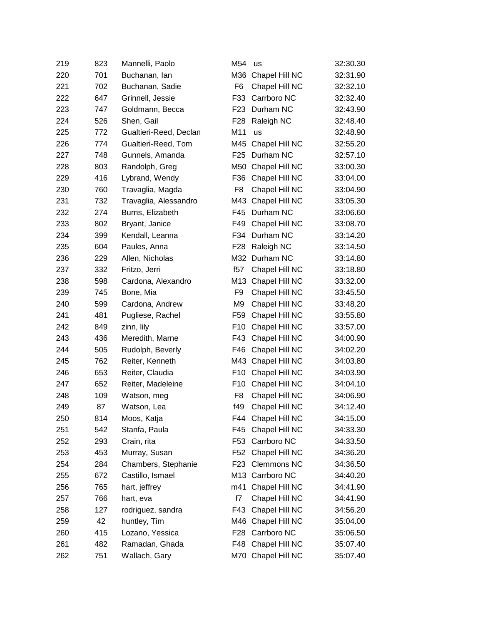| 219 | 823 | Mannelli, Paolo        | M54             | us                 | 32:30.30 |
|-----|-----|------------------------|-----------------|--------------------|----------|
| 220 | 701 | Buchanan, lan          | M36             | Chapel Hill NC     | 32:31.90 |
| 221 | 702 | Buchanan, Sadie        | F <sub>6</sub>  | Chapel Hill NC     | 32:32.10 |
| 222 | 647 | Grinnell, Jessie       | F33             | Carrboro NC        | 32:32.40 |
| 223 | 747 | Goldmann, Becca        | F <sub>23</sub> | Durham NC          | 32:43.90 |
| 224 | 526 | Shen, Gail             | F28             | Raleigh NC         | 32:48.40 |
| 225 | 772 | Gualtieri-Reed, Declan | M11             | <b>us</b>          | 32:48.90 |
| 226 | 774 | Gualtieri-Reed, Tom    | M45             | Chapel Hill NC     | 32:55.20 |
| 227 | 748 | Gunnels, Amanda        | F <sub>25</sub> | Durham NC          | 32:57.10 |
| 228 | 803 | Randolph, Greg         | M50             | Chapel Hill NC     | 33:00.30 |
| 229 | 416 | Lybrand, Wendy         | F36             | Chapel Hill NC     | 33:04.00 |
| 230 | 760 | Travaglia, Magda       | F <sub>8</sub>  | Chapel Hill NC     | 33:04.90 |
| 231 | 732 | Travaglia, Alessandro  | M43             | Chapel Hill NC     | 33:05.30 |
| 232 | 274 | Burns, Elizabeth       | F45             | Durham NC          | 33:06.60 |
| 233 | 802 | Bryant, Janice         | F49             | Chapel Hill NC     | 33:08.70 |
| 234 | 399 | Kendall, Leanna        | F34             | Durham NC          | 33:14.20 |
| 235 | 604 | Paules, Anna           | F28             | Raleigh NC         | 33:14.50 |
| 236 | 229 | Allen, Nicholas        | M32             | Durham NC          | 33:14.80 |
| 237 | 332 | Fritzo, Jerri          | f57             | Chapel Hill NC     | 33:18.80 |
| 238 | 598 | Cardona, Alexandro     | M13             | Chapel Hill NC     | 33:32.00 |
| 239 | 745 | Bone, Mia              | F <sub>9</sub>  | Chapel Hill NC     | 33:45.50 |
| 240 | 599 | Cardona, Andrew        | M9              | Chapel Hill NC     | 33:48.20 |
| 241 | 481 | Pugliese, Rachel       | F <sub>59</sub> | Chapel Hill NC     | 33:55.80 |
| 242 | 849 | zinn, lily             | F <sub>10</sub> | Chapel Hill NC     | 33:57.00 |
| 243 | 436 | Meredith, Marne        | F43             | Chapel Hill NC     | 34:00.90 |
| 244 | 505 | Rudolph, Beverly       | F46             | Chapel Hill NC     | 34:02.20 |
| 245 | 762 | Reiter, Kenneth        | M43             | Chapel Hill NC     | 34:03.80 |
| 246 | 653 | Reiter, Claudia        | F <sub>10</sub> | Chapel Hill NC     | 34:03.90 |
| 247 | 652 | Reiter, Madeleine      | F <sub>10</sub> | Chapel Hill NC     | 34:04.10 |
| 248 | 109 | Watson, meg            | F <sub>8</sub>  | Chapel Hill NC     | 34:06.90 |
| 249 | 87  | Watson, Lea            | f49             | Chapel Hill NC     | 34:12.40 |
| 250 | 814 | Moos, Katja            | F44             | Chapel Hill NC     | 34:15.00 |
| 251 | 542 | Stanfa, Paula          | F45             | Chapel Hill NC     | 34:33.30 |
| 252 | 293 | Crain, rita            | F <sub>53</sub> | Carrboro NC        | 34:33.50 |
| 253 | 453 | Murray, Susan          | F <sub>52</sub> | Chapel Hill NC     | 34:36.20 |
| 254 | 284 | Chambers, Stephanie    | F <sub>23</sub> | <b>Clemmons NC</b> | 34:36.50 |
| 255 | 672 | Castillo, Ismael       |                 | M13 Carrboro NC    | 34:40.20 |
| 256 | 765 | hart, jeffrey          | m41             | Chapel Hill NC     | 34:41.90 |
| 257 | 766 | hart, eva              | f7              | Chapel Hill NC     | 34:41.90 |
| 258 | 127 | rodriguez, sandra      | F43             | Chapel Hill NC     | 34:56.20 |
| 259 | 42  | huntley, Tim           | M46             | Chapel Hill NC     | 35:04.00 |
| 260 | 415 | Lozano, Yessica        | F <sub>28</sub> | Carrboro NC        | 35:06.50 |
| 261 | 482 | Ramadan, Ghada         | F48             | Chapel Hill NC     | 35:07.40 |
| 262 | 751 | Wallach, Gary          |                 | M70 Chapel Hill NC | 35:07.40 |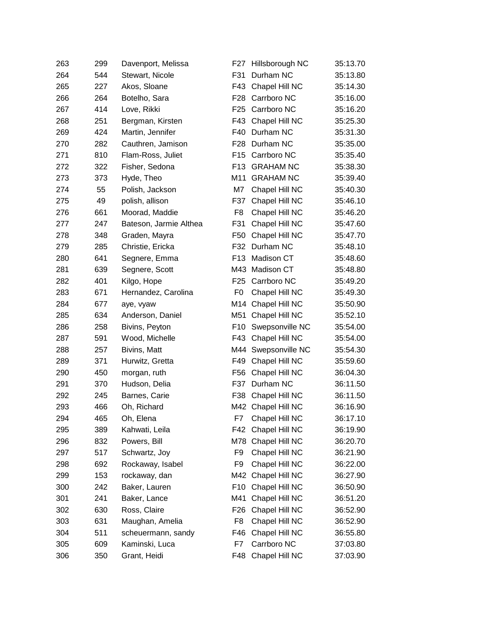| 263 | 299 | Davenport, Melissa     | F <sub>27</sub> | Hillsborough NC    | 35:13.70 |
|-----|-----|------------------------|-----------------|--------------------|----------|
| 264 | 544 | Stewart, Nicole        | F31             | Durham NC          | 35:13.80 |
| 265 | 227 | Akos, Sloane           | F43             | Chapel Hill NC     | 35:14.30 |
| 266 | 264 | Botelho, Sara          | F <sub>28</sub> | Carrboro NC        | 35:16.00 |
| 267 | 414 | Love, Rikki            | F <sub>25</sub> | Carrboro NC        | 35:16.20 |
| 268 | 251 | Bergman, Kirsten       | F43             | Chapel Hill NC     | 35:25.30 |
| 269 | 424 | Martin, Jennifer       | F40             | Durham NC          | 35:31.30 |
| 270 | 282 | Cauthren, Jamison      | F28             | Durham NC          | 35:35.00 |
| 271 | 810 | Flam-Ross, Juliet      | F <sub>15</sub> | Carrboro NC        | 35:35.40 |
| 272 | 322 | Fisher, Sedona         | F <sub>13</sub> | <b>GRAHAM NC</b>   | 35:38.30 |
| 273 | 373 | Hyde, Theo             | M11             | <b>GRAHAM NC</b>   | 35:39.40 |
| 274 | 55  | Polish, Jackson        | M7              | Chapel Hill NC     | 35:40.30 |
| 275 | 49  | polish, allison        | F37             | Chapel Hill NC     | 35:46.10 |
| 276 | 661 | Moorad, Maddie         | F <sub>8</sub>  | Chapel Hill NC     | 35:46.20 |
| 277 | 247 | Bateson, Jarmie Althea | F31             | Chapel Hill NC     | 35:47.60 |
| 278 | 348 | Graden, Mayra          | F <sub>50</sub> | Chapel Hill NC     | 35:47.70 |
| 279 | 285 | Christie, Ericka       | F32             | Durham NC          | 35:48.10 |
| 280 | 641 | Segnere, Emma          | F <sub>13</sub> | Madison CT         | 35:48.60 |
| 281 | 639 | Segnere, Scott         | M43             | Madison CT         | 35:48.80 |
| 282 | 401 | Kilgo, Hope            | F <sub>25</sub> | Carrboro NC        | 35:49.20 |
| 283 | 671 | Hernandez, Carolina    | F <sub>0</sub>  | Chapel Hill NC     | 35:49.30 |
| 284 | 677 | aye, vyaw              |                 | M14 Chapel Hill NC | 35:50.90 |
| 285 | 634 | Anderson, Daniel       | M51             | Chapel Hill NC     | 35:52.10 |
| 286 | 258 | Bivins, Peyton         | F <sub>10</sub> | Swepsonville NC    | 35:54.00 |
| 287 | 591 | Wood, Michelle         | F43             | Chapel Hill NC     | 35:54.00 |
| 288 | 257 | Bivins, Matt           | M44             | Swepsonville NC    | 35:54.30 |
| 289 | 371 | Hurwitz, Gretta        | F49             | Chapel Hill NC     | 35:59.60 |
| 290 | 450 | morgan, ruth           | F56             | Chapel Hill NC     | 36:04.30 |
| 291 | 370 | Hudson, Delia          | F37             | Durham NC          | 36:11.50 |
| 292 | 245 | Barnes, Carie          | F38             | Chapel Hill NC     | 36:11.50 |
| 293 | 466 | Oh, Richard            |                 | M42 Chapel Hill NC | 36:16.90 |
| 294 | 465 | Oh, Elena              | F7              | Chapel Hill NC     | 36:17.10 |
| 295 | 389 | Kahwati, Leila         | F42             | Chapel Hill NC     | 36:19.90 |
| 296 | 832 | Powers, Bill           | M78             | Chapel Hill NC     | 36:20.70 |
| 297 | 517 | Schwartz, Joy          | F9              | Chapel Hill NC     | 36:21.90 |
| 298 | 692 | Rockaway, Isabel       | F9              | Chapel Hill NC     | 36:22.00 |
| 299 | 153 | rockaway, dan          | M42             | Chapel Hill NC     | 36:27.90 |
| 300 | 242 | Baker, Lauren          | F <sub>10</sub> | Chapel Hill NC     | 36:50.90 |
| 301 | 241 | Baker, Lance           | M41             | Chapel Hill NC     | 36:51.20 |
| 302 | 630 | Ross, Claire           | F <sub>26</sub> | Chapel Hill NC     | 36:52.90 |
| 303 | 631 | Maughan, Amelia        | F <sub>8</sub>  | Chapel Hill NC     | 36:52.90 |
| 304 | 511 | scheuermann, sandy     | F46             | Chapel Hill NC     | 36:55.80 |
| 305 | 609 | Kaminski, Luca         | F7              | Carrboro NC        | 37:03.80 |
| 306 | 350 | Grant, Heidi           | F48             | Chapel Hill NC     | 37:03.90 |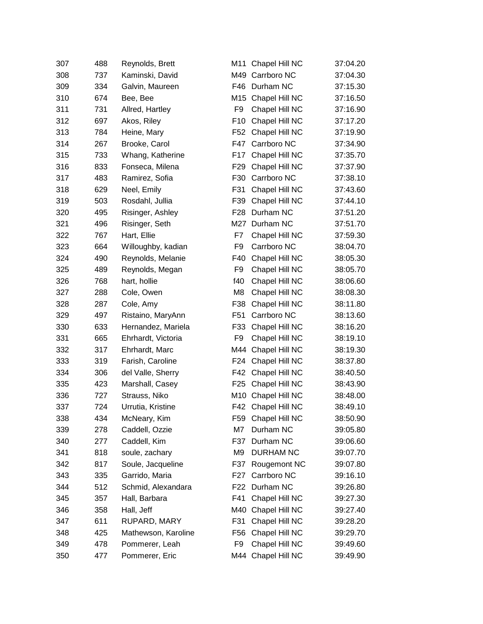| 307 | 488 | Reynolds, Brett     | M11             | Chapel Hill NC     | 37:04.20 |
|-----|-----|---------------------|-----------------|--------------------|----------|
| 308 | 737 | Kaminski, David     | M49             | Carrboro NC        | 37:04.30 |
| 309 | 334 | Galvin, Maureen     | F46             | Durham NC          | 37:15.30 |
| 310 | 674 | Bee, Bee            | M15             | Chapel Hill NC     | 37:16.50 |
| 311 | 731 | Allred, Hartley     | F <sub>9</sub>  | Chapel Hill NC     | 37:16.90 |
| 312 | 697 | Akos, Riley         | F <sub>10</sub> | Chapel Hill NC     | 37:17.20 |
| 313 | 784 | Heine, Mary         | F <sub>52</sub> | Chapel Hill NC     | 37:19.90 |
| 314 | 267 | Brooke, Carol       | F47             | Carrboro NC        | 37:34.90 |
| 315 | 733 | Whang, Katherine    | F <sub>17</sub> | Chapel Hill NC     | 37:35.70 |
| 316 | 833 | Fonseca, Milena     | F <sub>29</sub> | Chapel Hill NC     | 37:37.90 |
| 317 | 483 | Ramirez, Sofia      | F30             | Carrboro NC        | 37:38.10 |
| 318 | 629 | Neel, Emily         | F31             | Chapel Hill NC     | 37:43.60 |
| 319 | 503 | Rosdahl, Jullia     | F39             | Chapel Hill NC     | 37:44.10 |
| 320 | 495 | Risinger, Ashley    | F28             | Durham NC          | 37:51.20 |
| 321 | 496 | Risinger, Seth      |                 | M27 Durham NC      | 37:51.70 |
| 322 | 767 | Hart, Ellie         | F7              | Chapel Hill NC     | 37:59.30 |
| 323 | 664 | Willoughby, kadian  | F <sub>9</sub>  | Carrboro NC        | 38:04.70 |
| 324 | 490 | Reynolds, Melanie   | F40             | Chapel Hill NC     | 38:05.30 |
| 325 | 489 | Reynolds, Megan     | F <sub>9</sub>  | Chapel Hill NC     | 38:05.70 |
| 326 | 768 | hart, hollie        | f40             | Chapel Hill NC     | 38:06.60 |
| 327 | 288 | Cole, Owen          | M <sub>8</sub>  | Chapel Hill NC     | 38:08.30 |
| 328 | 287 | Cole, Amy           | F38             | Chapel Hill NC     | 38:11.80 |
| 329 | 497 | Ristaino, MaryAnn   | F <sub>51</sub> | Carrboro NC        | 38:13.60 |
| 330 | 633 | Hernandez, Mariela  | F33             | Chapel Hill NC     | 38:16.20 |
| 331 | 665 | Ehrhardt, Victoria  | F <sub>9</sub>  | Chapel Hill NC     | 38:19.10 |
| 332 | 317 | Ehrhardt, Marc      | M44             | Chapel Hill NC     | 38:19.30 |
| 333 | 319 | Farish, Caroline    | F24             | Chapel Hill NC     | 38:37.80 |
| 334 | 306 | del Valle, Sherry   | F42             | Chapel Hill NC     | 38:40.50 |
| 335 | 423 | Marshall, Casey     | F <sub>25</sub> | Chapel Hill NC     | 38:43.90 |
| 336 | 727 | Strauss, Niko       | M10             | Chapel Hill NC     | 38:48.00 |
| 337 | 724 | Urrutia, Kristine   |                 | F42 Chapel Hill NC | 38:49.10 |
| 338 | 434 | McNeary, Kim        | F59             | Chapel Hill NC     | 38:50.90 |
| 339 | 278 | Caddell, Ozzie      | M7              | Durham NC          | 39:05.80 |
| 340 | 277 | Caddell, Kim        | F37             | Durham NC          | 39:06.60 |
| 341 | 818 | soule, zachary      | M9              | <b>DURHAM NC</b>   | 39:07.70 |
| 342 | 817 | Soule, Jacqueline   | F37             | Rougemont NC       | 39:07.80 |
| 343 | 335 | Garrido, Maria      | F27             | Carrboro NC        | 39:16.10 |
| 344 | 512 | Schmid, Alexandara  | F22             | Durham NC          | 39:26.80 |
| 345 | 357 | Hall, Barbara       | F41             | Chapel Hill NC     | 39:27.30 |
| 346 | 358 | Hall, Jeff          | M40             | Chapel Hill NC     | 39:27.40 |
| 347 | 611 | RUPARD, MARY        | F31             | Chapel Hill NC     | 39:28.20 |
| 348 | 425 | Mathewson, Karoline | F <sub>56</sub> | Chapel Hill NC     | 39:29.70 |
| 349 | 478 | Pommerer, Leah      | F9              | Chapel Hill NC     | 39:49.60 |
| 350 | 477 | Pommerer, Eric      |                 | M44 Chapel Hill NC | 39:49.90 |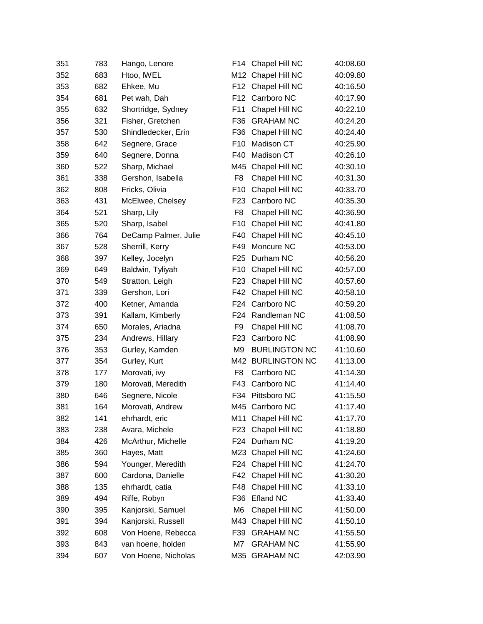| 351 | 783 | Hango, Lenore        | F14             | Chapel Hill NC       | 40:08.60 |
|-----|-----|----------------------|-----------------|----------------------|----------|
| 352 | 683 | Htoo, IWEL           | M12             | Chapel Hill NC       | 40:09.80 |
| 353 | 682 | Ehkee, Mu            | F <sub>12</sub> | Chapel Hill NC       | 40:16.50 |
| 354 | 681 | Pet wah, Dah         | F <sub>12</sub> | Carrboro NC          | 40:17.90 |
| 355 | 632 | Shortridge, Sydney   | F11             | Chapel Hill NC       | 40:22.10 |
| 356 | 321 | Fisher, Gretchen     | F36             | <b>GRAHAM NC</b>     | 40:24.20 |
| 357 | 530 | Shindledecker, Erin  | F36             | Chapel Hill NC       | 40:24.40 |
| 358 | 642 | Segnere, Grace       | F <sub>10</sub> | Madison CT           | 40:25.90 |
| 359 | 640 | Segnere, Donna       | F40             | Madison CT           | 40:26.10 |
| 360 | 522 | Sharp, Michael       | M45             | Chapel Hill NC       | 40:30.10 |
| 361 | 338 | Gershon, Isabella    | F <sub>8</sub>  | Chapel Hill NC       | 40:31.30 |
| 362 | 808 | Fricks, Olivia       | F <sub>10</sub> | Chapel Hill NC       | 40:33.70 |
| 363 | 431 | McElwee, Chelsey     | F <sub>23</sub> | Carrboro NC          | 40:35.30 |
| 364 | 521 | Sharp, Lily          | F <sub>8</sub>  | Chapel Hill NC       | 40:36.90 |
| 365 | 520 | Sharp, Isabel        | F <sub>10</sub> | Chapel Hill NC       | 40:41.80 |
| 366 | 764 | DeCamp Palmer, Julie | F40             | Chapel Hill NC       | 40:45.10 |
| 367 | 528 | Sherrill, Kerry      | F49             | Moncure NC           | 40:53.00 |
| 368 | 397 | Kelley, Jocelyn      | F <sub>25</sub> | Durham NC            | 40:56.20 |
| 369 | 649 | Baldwin, Tyliyah     | F <sub>10</sub> | Chapel Hill NC       | 40:57.00 |
| 370 | 549 | Stratton, Leigh      | F23             | Chapel Hill NC       | 40:57.60 |
| 371 | 339 | Gershon, Lori        | F42             | Chapel Hill NC       | 40:58.10 |
| 372 | 400 | Ketner, Amanda       | F24             | Carrboro NC          | 40:59.20 |
| 373 | 391 | Kallam, Kimberly     | F24             | Randleman NC         | 41:08.50 |
| 374 | 650 | Morales, Ariadna     | F9              | Chapel Hill NC       | 41:08.70 |
| 375 | 234 | Andrews, Hillary     | F <sub>23</sub> | Carrboro NC          | 41:08.90 |
| 376 | 353 | Gurley, Kamden       | M <sub>9</sub>  | <b>BURLINGTON NC</b> | 41:10.60 |
| 377 | 354 | Gurley, Kurt         |                 | M42 BURLINGTON NC    | 41:13.00 |
| 378 | 177 | Morovati, ivy        | F <sub>8</sub>  | Carrboro NC          | 41:14.30 |
| 379 | 180 | Morovati, Meredith   | F43             | Carrboro NC          | 41:14.40 |
| 380 | 646 | Segnere, Nicole      | F34             | Pittsboro NC         | 41:15.50 |
| 381 | 164 | Morovati, Andrew     |                 | M45 Carrboro NC      | 41:17.40 |
| 382 | 141 | ehrhardt, eric       | M11             | Chapel Hill NC       | 41:17.70 |
| 383 | 238 | Avara, Michele       | F <sub>23</sub> | Chapel Hill NC       | 41:18.80 |
| 384 | 426 | McArthur, Michelle   | F24             | Durham NC            | 41:19.20 |
| 385 | 360 | Hayes, Matt          | M23             | Chapel Hill NC       | 41:24.60 |
| 386 | 594 | Younger, Meredith    | F24             | Chapel Hill NC       | 41:24.70 |
| 387 | 600 | Cardona, Danielle    | F42             | Chapel Hill NC       | 41:30.20 |
| 388 | 135 | ehrhardt, catia      | F48             | Chapel Hill NC       | 41:33.10 |
| 389 | 494 | Riffe, Robyn         | F36             | <b>Efland NC</b>     | 41:33.40 |
| 390 | 395 | Kanjorski, Samuel    | M <sub>6</sub>  | Chapel Hill NC       | 41:50.00 |
| 391 | 394 | Kanjorski, Russell   | M43             | Chapel Hill NC       | 41:50.10 |
| 392 | 608 | Von Hoene, Rebecca   | F39             | <b>GRAHAM NC</b>     | 41:55.50 |
| 393 | 843 | van hoene, holden    | M7              | <b>GRAHAM NC</b>     | 41:55.90 |
| 394 | 607 | Von Hoene, Nicholas  |                 | M35 GRAHAM NC        | 42:03.90 |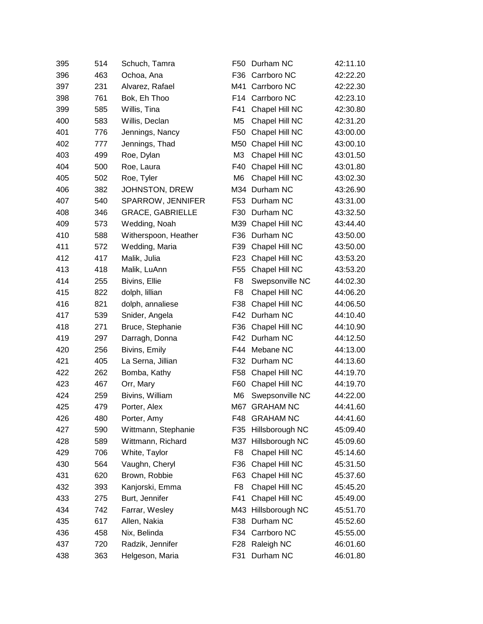| 395 | 514 | Schuch, Tamra           | F50             | Durham NC        | 42:11.10 |
|-----|-----|-------------------------|-----------------|------------------|----------|
| 396 | 463 | Ochoa, Ana              | F36             | Carrboro NC      | 42:22.20 |
| 397 | 231 | Alvarez, Rafael         | M41             | Carrboro NC      | 42:22.30 |
| 398 | 761 | Bok, Eh Thoo            | F14             | Carrboro NC      | 42:23.10 |
| 399 | 585 | Willis, Tina            | F41             | Chapel Hill NC   | 42:30.80 |
| 400 | 583 | Willis, Declan          | M <sub>5</sub>  | Chapel Hill NC   | 42:31.20 |
| 401 | 776 | Jennings, Nancy         | F <sub>50</sub> | Chapel Hill NC   | 43:00.00 |
| 402 | 777 | Jennings, Thad          | M50             | Chapel Hill NC   | 43:00.10 |
| 403 | 499 | Roe, Dylan              | M <sub>3</sub>  | Chapel Hill NC   | 43:01.50 |
| 404 | 500 | Roe, Laura              | F40             | Chapel Hill NC   | 43:01.80 |
| 405 | 502 | Roe, Tyler              | M <sub>6</sub>  | Chapel Hill NC   | 43:02.30 |
| 406 | 382 | JOHNSTON, DREW          | M34             | Durham NC        | 43:26.90 |
| 407 | 540 | SPARROW, JENNIFER       | F <sub>53</sub> | Durham NC        | 43:31.00 |
| 408 | 346 | <b>GRACE, GABRIELLE</b> | F30             | Durham NC        | 43:32.50 |
| 409 | 573 | Wedding, Noah           | M39             | Chapel Hill NC   | 43:44.40 |
| 410 | 588 | Witherspoon, Heather    | F36             | Durham NC        | 43:50.00 |
| 411 | 572 | Wedding, Maria          | F39             | Chapel Hill NC   | 43:50.00 |
| 412 | 417 | Malik, Julia            | F <sub>23</sub> | Chapel Hill NC   | 43:53.20 |
| 413 | 418 | Malik, LuAnn            | F <sub>55</sub> | Chapel Hill NC   | 43:53.20 |
| 414 | 255 | Bivins, Ellie           | F <sub>8</sub>  | Swepsonville NC  | 44:02.30 |
| 415 | 822 | dolph, lillian          | F <sub>8</sub>  | Chapel Hill NC   | 44:06.20 |
| 416 | 821 | dolph, annaliese        | F38             | Chapel Hill NC   | 44:06.50 |
| 417 | 539 | Snider, Angela          | F42             | Durham NC        | 44:10.40 |
| 418 | 271 | Bruce, Stephanie        | F36             | Chapel Hill NC   | 44:10.90 |
| 419 | 297 | Darragh, Donna          | F42             | Durham NC        | 44:12.50 |
| 420 | 256 | Bivins, Emily           | F44             | Mebane NC        | 44:13.00 |
| 421 | 405 | La Serna, Jillian       |                 | F32 Durham NC    | 44:13.60 |
| 422 | 262 | Bomba, Kathy            | F58             | Chapel Hill NC   | 44:19.70 |
| 423 | 467 | Orr, Mary               | F60             | Chapel Hill NC   | 44:19.70 |
| 424 | 259 | Bivins, William         | M <sub>6</sub>  | Swepsonville NC  | 44:22.00 |
| 425 | 479 | Porter, Alex            | M67             | <b>GRAHAM NC</b> | 44:41.60 |
| 426 | 480 | Porter, Amy             | F48             | <b>GRAHAM NC</b> | 44:41.60 |
| 427 | 590 | Wittmann, Stephanie     | F35             | Hillsborough NC  | 45:09.40 |
| 428 | 589 | Wittmann, Richard       | M37             | Hillsborough NC  | 45:09.60 |
| 429 | 706 | White, Taylor           | F8              | Chapel Hill NC   | 45:14.60 |
| 430 | 564 | Vaughn, Cheryl          | F36             | Chapel Hill NC   | 45:31.50 |
| 431 | 620 | Brown, Robbie           | F63             | Chapel Hill NC   | 45:37.60 |
| 432 | 393 | Kanjorski, Emma         | F <sub>8</sub>  | Chapel Hill NC   | 45:45.20 |
| 433 | 275 | Burt, Jennifer          | F41             | Chapel Hill NC   | 45:49.00 |
| 434 | 742 | Farrar, Wesley          | M43             | Hillsborough NC  | 45:51.70 |
| 435 | 617 | Allen, Nakia            | F38             | Durham NC        | 45:52.60 |
| 436 | 458 | Nix, Belinda            | F34             | Carrboro NC      | 45:55.00 |
| 437 | 720 | Radzik, Jennifer        | F <sub>28</sub> | Raleigh NC       | 46:01.60 |
| 438 | 363 | Helgeson, Maria         | F31             | Durham NC        | 46:01.80 |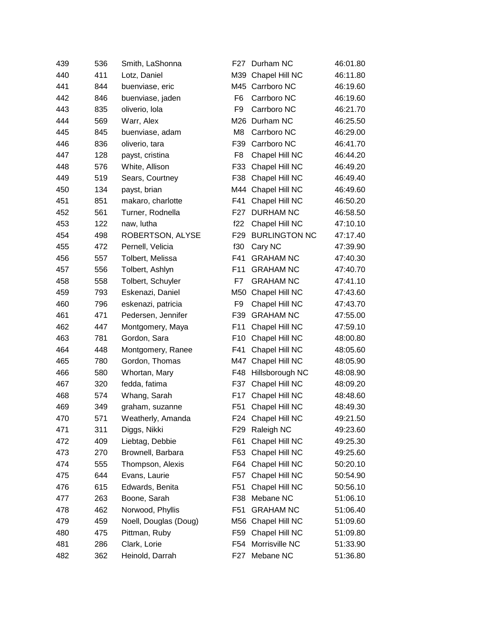| 439 | 536 | Smith, LaShonna       | F <sub>27</sub> | Durham NC            | 46:01.80 |
|-----|-----|-----------------------|-----------------|----------------------|----------|
| 440 | 411 | Lotz, Daniel          | M39             | Chapel Hill NC       | 46:11.80 |
| 441 | 844 | buenviase, eric       |                 | M45 Carrboro NC      | 46:19.60 |
| 442 | 846 | buenviase, jaden      | F <sub>6</sub>  | Carrboro NC          | 46:19.60 |
| 443 | 835 | oliverio, lola        | F9              | Carrboro NC          | 46:21.70 |
| 444 | 569 | Warr, Alex            | M26             | Durham NC            | 46:25.50 |
| 445 | 845 | buenviase, adam       | M8              | Carrboro NC          | 46:29.00 |
| 446 | 836 | oliverio, tara        | F39             | Carrboro NC          | 46:41.70 |
| 447 | 128 | payst, cristina       | F <sub>8</sub>  | Chapel Hill NC       | 46:44.20 |
| 448 | 576 | White, Allison        | F33             | Chapel Hill NC       | 46:49.20 |
| 449 | 519 | Sears, Courtney       | F38             | Chapel Hill NC       | 46:49.40 |
| 450 | 134 | payst, brian          | M44             | Chapel Hill NC       | 46:49.60 |
| 451 | 851 | makaro, charlotte     | F41             | Chapel Hill NC       | 46:50.20 |
| 452 | 561 | Turner, Rodnella      | F27             | <b>DURHAM NC</b>     | 46:58.50 |
| 453 | 122 | naw, lutha            | f22             | Chapel Hill NC       | 47:10.10 |
| 454 | 498 | ROBERTSON, ALYSE      | F <sub>29</sub> | <b>BURLINGTON NC</b> | 47:17.40 |
| 455 | 472 | Pernell, Velicia      | f30             | Cary NC              | 47:39.90 |
| 456 | 557 | Tolbert, Melissa      | F41             | <b>GRAHAM NC</b>     | 47:40.30 |
| 457 | 556 | Tolbert, Ashlyn       | F11             | <b>GRAHAM NC</b>     | 47:40.70 |
| 458 | 558 | Tolbert, Schuyler     | F7              | <b>GRAHAM NC</b>     | 47:41.10 |
| 459 | 793 | Eskenazi, Daniel      | M50             | Chapel Hill NC       | 47:43.60 |
| 460 | 796 | eskenazi, patricia    | F <sub>9</sub>  | Chapel Hill NC       | 47:43.70 |
| 461 | 471 | Pedersen, Jennifer    | F39             | <b>GRAHAM NC</b>     | 47:55.00 |
| 462 | 447 | Montgomery, Maya      | F11             | Chapel Hill NC       | 47:59.10 |
| 463 | 781 | Gordon, Sara          | F <sub>10</sub> | Chapel Hill NC       | 48:00.80 |
| 464 | 448 | Montgomery, Ranee     | F41             | Chapel Hill NC       | 48:05.60 |
| 465 | 780 | Gordon, Thomas        | M47             | Chapel Hill NC       | 48:05.90 |
| 466 | 580 | Whortan, Mary         | F48             | Hillsborough NC      | 48:08.90 |
| 467 | 320 | fedda, fatima         | F37             | Chapel Hill NC       | 48:09.20 |
| 468 | 574 | Whang, Sarah          | F <sub>17</sub> | Chapel Hill NC       | 48:48.60 |
| 469 | 349 | graham, suzanne       | F <sub>51</sub> | Chapel Hill NC       | 48:49.30 |
| 470 | 571 | Weatherly, Amanda     |                 | F24 Chapel Hill NC   | 49:21.50 |
| 471 | 311 | Diggs, Nikki          | F <sub>29</sub> | Raleigh NC           | 49:23.60 |
| 472 | 409 | Liebtag, Debbie       | F61             | Chapel Hill NC       | 49:25.30 |
| 473 | 270 | Brownell, Barbara     | F <sub>53</sub> | Chapel Hill NC       | 49:25.60 |
| 474 | 555 | Thompson, Alexis      | F64             | Chapel Hill NC       | 50:20.10 |
| 475 | 644 | Evans, Laurie         | F <sub>57</sub> | Chapel Hill NC       | 50:54.90 |
| 476 | 615 | Edwards, Benita       | F <sub>51</sub> | Chapel Hill NC       | 50:56.10 |
| 477 | 263 | Boone, Sarah          | F38             | Mebane NC            | 51:06.10 |
| 478 | 462 | Norwood, Phyllis      | F <sub>51</sub> | <b>GRAHAM NC</b>     | 51:06.40 |
| 479 | 459 | Noell, Douglas (Doug) | M56             | Chapel Hill NC       | 51:09.60 |
| 480 | 475 | Pittman, Ruby         | F <sub>59</sub> | Chapel Hill NC       | 51:09.80 |
| 481 | 286 | Clark, Lorie          | F54             | Morrisville NC       | 51:33.90 |
| 482 | 362 | Heinold, Darrah       | F <sub>27</sub> | Mebane NC            | 51:36.80 |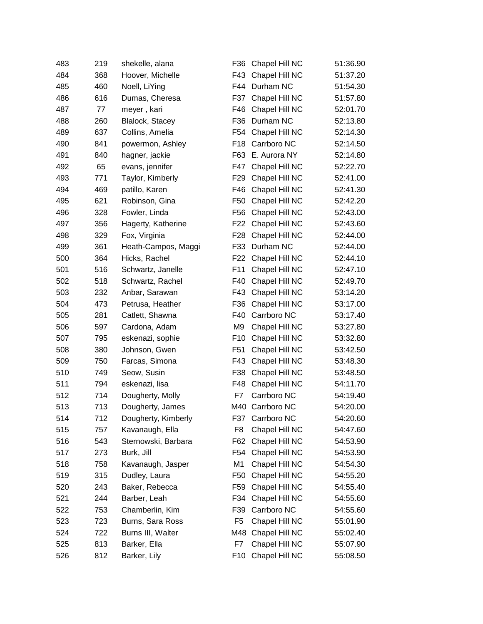| 483 | 219 | shekelle, alana        | F36             | Chapel Hill NC  | 51:36.90 |
|-----|-----|------------------------|-----------------|-----------------|----------|
| 484 | 368 | Hoover, Michelle       | F43             | Chapel Hill NC  | 51:37.20 |
| 485 | 460 | Noell, LiYing          | F44             | Durham NC       | 51:54.30 |
| 486 | 616 | Dumas, Cheresa         | F37             | Chapel Hill NC  | 51:57.80 |
| 487 | 77  | meyer, kari            | F46             | Chapel Hill NC  | 52:01.70 |
| 488 | 260 | <b>Blalock, Stacey</b> | F36             | Durham NC       | 52:13.80 |
| 489 | 637 | Collins, Amelia        | F <sub>54</sub> | Chapel Hill NC  | 52:14.30 |
| 490 | 841 | powermon, Ashley       | F <sub>18</sub> | Carrboro NC     | 52:14.50 |
| 491 | 840 | hagner, jackie         | F63             | E. Aurora NY    | 52:14.80 |
| 492 | 65  | evans, jennifer        | F47             | Chapel Hill NC  | 52:22.70 |
| 493 | 771 | Taylor, Kimberly       | F <sub>29</sub> | Chapel Hill NC  | 52:41.00 |
| 494 | 469 | patillo, Karen         | F46             | Chapel Hill NC  | 52:41.30 |
| 495 | 621 | Robinson, Gina         | F <sub>50</sub> | Chapel Hill NC  | 52:42.20 |
| 496 | 328 | Fowler, Linda          | F56             | Chapel Hill NC  | 52:43.00 |
| 497 | 356 | Hagerty, Katherine     | F <sub>22</sub> | Chapel Hill NC  | 52:43.60 |
| 498 | 329 | Fox, Virginia          | F <sub>28</sub> | Chapel Hill NC  | 52:44.00 |
| 499 | 361 | Heath-Campos, Maggi    | F33             | Durham NC       | 52:44.00 |
| 500 | 364 | Hicks, Rachel          | F22             | Chapel Hill NC  | 52:44.10 |
| 501 | 516 | Schwartz, Janelle      | F11             | Chapel Hill NC  | 52:47.10 |
| 502 | 518 | Schwartz, Rachel       | F40             | Chapel Hill NC  | 52:49.70 |
| 503 | 232 | Anbar, Sarawan         | F43             | Chapel Hill NC  | 53:14.20 |
| 504 | 473 | Petrusa, Heather       | F36             | Chapel Hill NC  | 53:17.00 |
| 505 | 281 | Catlett, Shawna        | F40             | Carrboro NC     | 53:17.40 |
| 506 | 597 | Cardona, Adam          | M9              | Chapel Hill NC  | 53:27.80 |
| 507 | 795 | eskenazi, sophie       | F <sub>10</sub> | Chapel Hill NC  | 53:32.80 |
| 508 | 380 | Johnson, Gwen          | F <sub>51</sub> | Chapel Hill NC  | 53:42.50 |
| 509 | 750 | Farcas, Simona         | F43             | Chapel Hill NC  | 53:48.30 |
| 510 | 749 | Seow, Susin            | F38             | Chapel Hill NC  | 53:48.50 |
| 511 | 794 | eskenazi, lisa         | F48             | Chapel Hill NC  | 54:11.70 |
| 512 | 714 | Dougherty, Molly       | F7              | Carrboro NC     | 54:19.40 |
| 513 | 713 | Dougherty, James       |                 | M40 Carrboro NC | 54:20.00 |
| 514 | 712 | Dougherty, Kimberly    | F37             | Carrboro NC     | 54:20.60 |
| 515 | 757 | Kavanaugh, Ella        | F <sub>8</sub>  | Chapel Hill NC  | 54:47.60 |
| 516 | 543 | Sternowski, Barbara    | F62             | Chapel Hill NC  | 54:53.90 |
| 517 | 273 | Burk, Jill             | F <sub>54</sub> | Chapel Hill NC  | 54:53.90 |
| 518 | 758 | Kavanaugh, Jasper      | M <sub>1</sub>  | Chapel Hill NC  | 54:54.30 |
| 519 | 315 | Dudley, Laura          | F <sub>50</sub> | Chapel Hill NC  | 54:55.20 |
| 520 | 243 | Baker, Rebecca         | F <sub>59</sub> | Chapel Hill NC  | 54:55.40 |
| 521 | 244 | Barber, Leah           | F34             | Chapel Hill NC  | 54:55.60 |
| 522 | 753 | Chamberlin, Kim        | F39             | Carrboro NC     | 54:55.60 |
| 523 | 723 | Burns, Sara Ross       | F <sub>5</sub>  | Chapel Hill NC  | 55:01.90 |
| 524 | 722 | Burns III, Walter      | M48             | Chapel Hill NC  | 55:02.40 |
| 525 | 813 | Barker, Ella           | F7              | Chapel Hill NC  | 55:07.90 |
| 526 | 812 | Barker, Lily           | F10             | Chapel Hill NC  | 55:08.50 |